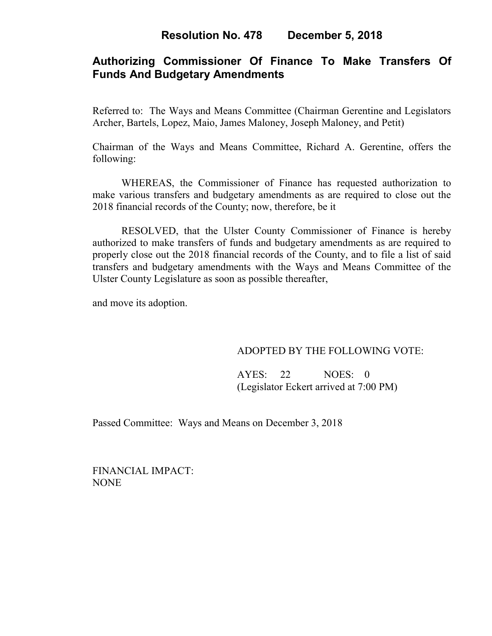# **Authorizing Commissioner Of Finance To Make Transfers Of Funds And Budgetary Amendments**

Referred to: The Ways and Means Committee (Chairman Gerentine and Legislators Archer, Bartels, Lopez, Maio, James Maloney, Joseph Maloney, and Petit)

Chairman of the Ways and Means Committee, Richard A. Gerentine, offers the following:

WHEREAS, the Commissioner of Finance has requested authorization to make various transfers and budgetary amendments as are required to close out the 2018 financial records of the County; now, therefore, be it

RESOLVED, that the Ulster County Commissioner of Finance is hereby authorized to make transfers of funds and budgetary amendments as are required to properly close out the 2018 financial records of the County, and to file a list of said transfers and budgetary amendments with the Ways and Means Committee of the Ulster County Legislature as soon as possible thereafter,

and move its adoption.

## ADOPTED BY THE FOLLOWING VOTE:

 AYES: 22 NOES: 0 (Legislator Eckert arrived at 7:00 PM)

Passed Committee: Ways and Means on December 3, 2018

FINANCIAL IMPACT: NONE